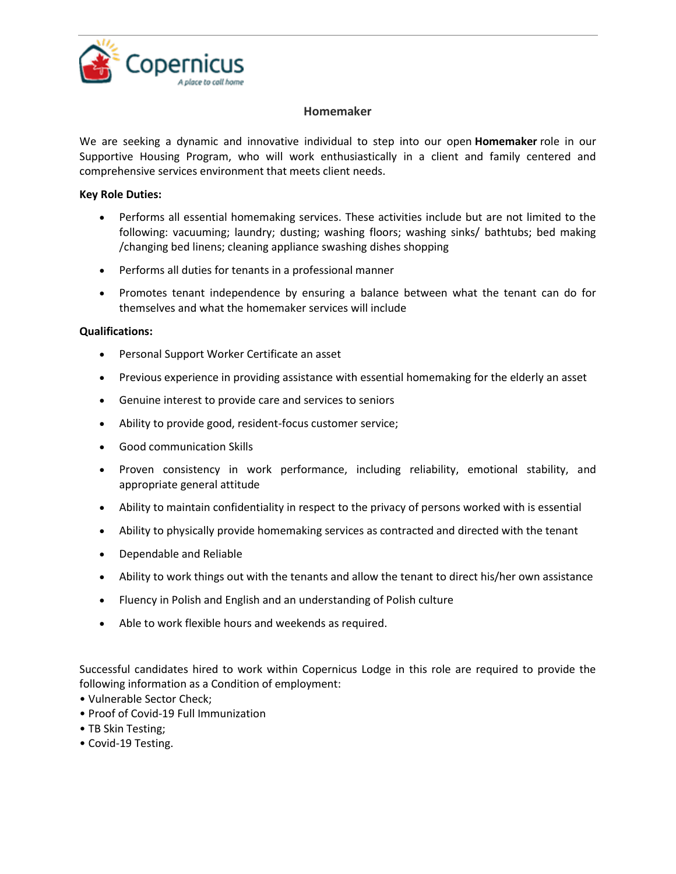

## **Homemaker**

We are seeking a dynamic and innovative individual to step into our open **Homemaker** role in our Supportive Housing Program, who will work enthusiastically in a client and family centered and comprehensive services environment that meets client needs.

## **Key Role Duties:**

- Performs all essential homemaking services. These activities include but are not limited to the following: vacuuming; laundry; dusting; washing floors; washing sinks/ bathtubs; bed making /changing bed linens; cleaning appliance swashing dishes shopping
- Performs all duties for tenants in a professional manner
- Promotes tenant independence by ensuring a balance between what the tenant can do for themselves and what the homemaker services will include

## **Qualifications:**

- Personal Support Worker Certificate an asset
- Previous experience in providing assistance with essential homemaking for the elderly an asset
- Genuine interest to provide care and services to seniors
- Ability to provide good, resident-focus customer service;
- Good communication Skills
- Proven consistency in work performance, including reliability, emotional stability, and appropriate general attitude
- Ability to maintain confidentiality in respect to the privacy of persons worked with is essential
- Ability to physically provide homemaking services as contracted and directed with the tenant
- Dependable and Reliable
- Ability to work things out with the tenants and allow the tenant to direct his/her own assistance
- Fluency in Polish and English and an understanding of Polish culture
- Able to work flexible hours and weekends as required.

Successful candidates hired to work within Copernicus Lodge in this role are required to provide the following information as a Condition of employment:

- Vulnerable Sector Check;
- Proof of Covid-19 Full Immunization
- TB Skin Testing;
- Covid-19 Testing.